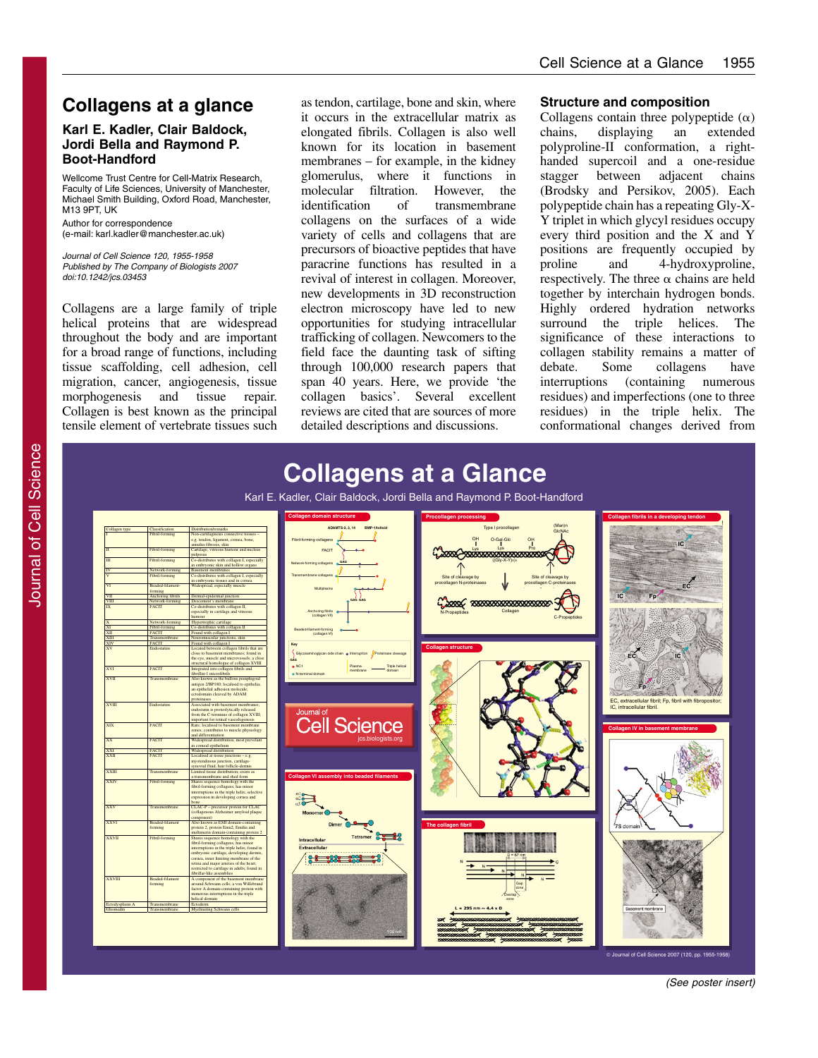# **Collagens at a glance**

### **Karl E. Kadler, Clair Baldock, Jordi Bella and Raymond P. Boot-Handford**

Wellcome Trust Centre for Cell-Matrix Research Faculty of Life Sciences, University of Manchester, Michael Smith Building, Oxford Road, Manchester, **M13 9PT UK** Author for correspondence

(e-mail: karl.kadler@manchester.ac.uk)

Journal of Cell Science 120, 1955-1958 Published by The Company of Biologists 2007 doi:10.1242/jcs.03453

Collagens are a large family of triple helical proteins that are widespread throughout the body and are important for a broad range of functions, including tissue scaffolding, cell adhesion, cell migration, cancer, angiogenesis, tissue morphogenesis and tissue repair. Collagen is best known as the principal tensile element of vertebrate tissues such

as tendon, cartilage, bone and skin, where it occurs in the extracellular matrix as elongated fibrils. Collagen is also well known for its location in basement membranes – for example, in the kidney glomerulus, where it functions in molecular filtration. However, the identification of transmembrane collagens on the surfaces of a wide variety of cells and collagens that are precursors of bioactive peptides that have paracrine functions has resulted in a revival of interest in collagen. Moreover, new developments in 3D reconstruction electron microscopy have led to new opportunities for studying intracellular trafficking of collagen. Newcomers to the field face the daunting task of sifting through 100,000 research papers that span 40 years. Here, we provide 'the collagen basics'. Several excellent reviews are cited that are sources of more detailed descriptions and discussions.

#### **Structure and composition**

Collagens contain three polypeptide  $(\alpha)$ chains, displaying an extended polyproline-II conformation, a righthanded supercoil and a one-residue stagger between adjacent chains (Brodsky and Persikov, 2005). Each polypeptide chain has a repeating Gly-X-Y triplet in which glycyl residues occupy every third position and the X and Y positions are frequently occupied by proline and 4-hydroxyproline, respectively. The three  $\alpha$  chains are held together by interchain hydrogen bonds. Highly ordered hydration networks surround the triple helices. The significance of these interactions to collagen stability remains a matter of debate. Some collagens have<br>interruptions (containing numerous interruptions (containing numerous residues) and imperfections (one to three residues) in the triple helix. The conformational changes derived from



© Journal of Cell Science 2007 (120, pp. 1955-1958)

(See poster insert)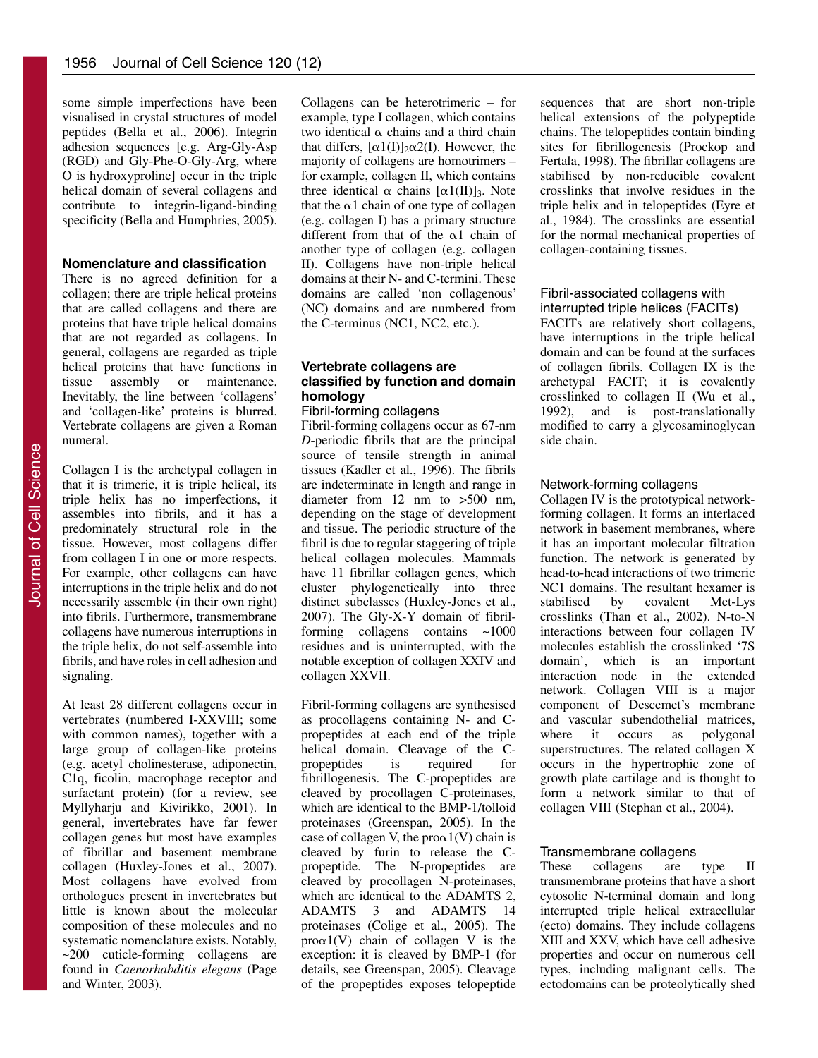some simple imperfections have been visualised in crystal structures of model peptides (Bella et al., 2006). Integrin adhesion sequences [e.g. Arg-Gly-Asp (RGD) and Gly-Phe-O-Gly-Arg, where O is hydroxyproline] occur in the triple helical domain of several collagens and contribute to integrin-ligand-binding specificity (Bella and Humphries, 2005).

#### **Nomenclature and classification**

There is no agreed definition for a collagen; there are triple helical proteins that are called collagens and there are proteins that have triple helical domains that are not regarded as collagens. In general, collagens are regarded as triple helical proteins that have functions in<br>tissue assembly or maintenance. or maintenance. Inevitably, the line between 'collagens' and 'collagen-like' proteins is blurred. Vertebrate collagens are given a Roman numeral.

Collagen I is the archetypal collagen in that it is trimeric, it is triple helical, its triple helix has no imperfections, it assembles into fibrils, and it has a predominately structural role in the tissue. However, most collagens differ from collagen I in one or more respects. For example, other collagens can have interruptions in the triple helix and do not necessarily assemble (in their own right) into fibrils. Furthermore, transmembrane collagens have numerous interruptions in the triple helix, do not self-assemble into fibrils, and have roles in cell adhesion and signaling.

At least 28 different collagens occur in vertebrates (numbered I-XXVIII; some with common names), together with a large group of collagen-like proteins (e.g. acetyl cholinesterase, adiponectin, C1q, ficolin, macrophage receptor and surfactant protein) (for a review, see Myllyharju and Kivirikko, 2001). In general, invertebrates have far fewer collagen genes but most have examples of fibrillar and basement membrane collagen (Huxley-Jones et al., 2007). Most collagens have evolved from orthologues present in invertebrates but little is known about the molecular composition of these molecules and no systematic nomenclature exists. Notably, ~200 cuticle-forming collagens are found in *Caenorhabditis elegans* (Page and Winter, 2003).

Collagens can be heterotrimeric – for example, type I collagen, which contains two identical  $\alpha$  chains and a third chain that differs,  $[\alpha 1(I)]_2 \alpha 2(I)$ . However, the majority of collagens are homotrimers – for example, collagen II, which contains three identical  $\alpha$  chains  $[\alpha 1(\Pi)]_3$ . Note that the  $\alpha$ 1 chain of one type of collagen (e.g. collagen I) has a primary structure different from that of the  $\alpha$ 1 chain of another type of collagen (e.g. collagen II). Collagens have non-triple helical domains at their N- and C-termini. These domains are called 'non collagenous' (NC) domains and are numbered from the C-terminus (NC1, NC2, etc.).

## **Vertebrate collagens are classified by function and domain homology**

Fibril-forming collagens

Fibril-forming collagens occur as 67-nm *D*-periodic fibrils that are the principal source of tensile strength in animal tissues (Kadler et al., 1996). The fibrils are indeterminate in length and range in diameter from 12 nm to >500 nm, depending on the stage of development and tissue. The periodic structure of the fibril is due to regular staggering of triple helical collagen molecules. Mammals have 11 fibrillar collagen genes, which cluster phylogenetically into three distinct subclasses (Huxley-Jones et al., 2007). The Gly-X-Y domain of fibrilforming collagens contains ~1000 residues and is uninterrupted, with the notable exception of collagen XXIV and collagen XXVII.

Fibril-forming collagens are synthesised as procollagens containing N- and Cpropeptides at each end of the triple helical domain. Cleavage of the C-<br>propeptides is required for propeptides is required fibrillogenesis. The C-propeptides are cleaved by procollagen C-proteinases, which are identical to the BMP-1/tolloid proteinases (Greenspan, 2005). In the case of collagen V, the  $prox1(V)$  chain is cleaved by furin to release the Cpropeptide. The N-propeptides are cleaved by procollagen N-proteinases, which are identical to the ADAMTS 2, ADAMTS 3 and ADAMTS 14 proteinases (Colige et al., 2005). The  $prox1(V)$  chain of collagen V is the exception: it is cleaved by BMP-1 (for details, see Greenspan, 2005). Cleavage of the propeptides exposes telopeptide

sequences that are short non-triple helical extensions of the polypeptide chains. The telopeptides contain binding sites for fibrillogenesis (Prockop and Fertala, 1998). The fibrillar collagens are stabilised by non-reducible covalent crosslinks that involve residues in the triple helix and in telopeptides (Eyre et al., 1984). The crosslinks are essential for the normal mechanical properties of collagen-containing tissues.

## Fibril-associated collagens with interrupted triple helices (FACITs)

FACITs are relatively short collagens, have interruptions in the triple helical domain and can be found at the surfaces of collagen fibrils. Collagen IX is the archetypal FACIT; it is covalently crosslinked to collagen II (Wu et al., 1992), and is post-translationally modified to carry a glycosaminoglycan side chain.

#### Network-forming collagens

Collagen IV is the prototypical networkforming collagen. It forms an interlaced network in basement membranes, where it has an important molecular filtration function. The network is generated by head-to-head interactions of two trimeric NC1 domains. The resultant hexamer is stabilised by covalent Met-Lys crosslinks (Than et al., 2002). N-to-N interactions between four collagen IV molecules establish the crosslinked '7S domain', which is an important interaction node in the extended network. Collagen VIII is a major component of Descemet's membrane and vascular subendothelial matrices, where it occurs as polygonal superstructures. The related collagen X occurs in the hypertrophic zone of growth plate cartilage and is thought to form a network similar to that of collagen VIII (Stephan et al., 2004).

#### Transmembrane collagens

These collagens are type II transmembrane proteins that have a short cytosolic N-terminal domain and long interrupted triple helical extracellular (ecto) domains. They include collagens XIII and XXV, which have cell adhesive properties and occur on numerous cell types, including malignant cells. The ectodomains can be proteolytically shed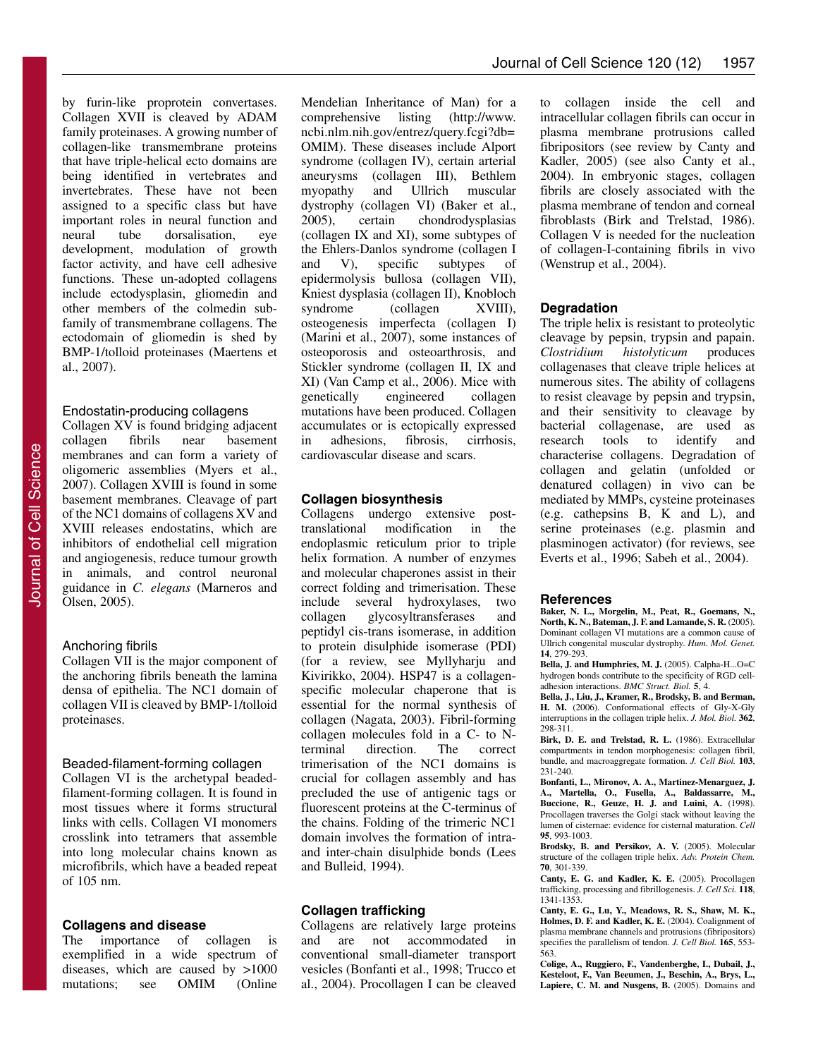by furin-like proprotein convertases. Collagen XVII is cleaved by ADAM family proteinases. A growing number of collagen-like transmembrane proteins that have triple-helical ecto domains are being identified in vertebrates and invertebrates. These have not been assigned to a specific class but have important roles in neural function and<br>neural tube dorsalisation, eve neural tube dorsalisation, eye development, modulation of growth factor activity, and have cell adhesive functions. These un-adopted collagens include ectodysplasin, gliomedin and other members of the colmedin subfamily of transmembrane collagens. The ectodomain of gliomedin is shed by BMP-1/tolloid proteinases (Maertens et al., 2007).

#### Endostatin-producing collagens

Collagen XV is found bridging adjacent collagen fibrils near basement membranes and can form a variety of oligomeric assemblies (Myers et al., 2007). Collagen XVIII is found in some basement membranes. Cleavage of part of the NC1 domains of collagens XV and XVIII releases endostatins, which are inhibitors of endothelial cell migration and angiogenesis, reduce tumour growth in animals, and control neuronal guidance in *C. elegans* (Marneros and Olsen, 2005).

## Anchoring fibrils

Collagen VII is the major component of the anchoring fibrils beneath the lamina densa of epithelia. The NC1 domain of collagen VII is cleaved by BMP-1/tolloid proteinases.

#### Beaded-filament-forming collagen

Collagen VI is the archetypal beadedfilament-forming collagen. It is found in most tissues where it forms structural links with cells. Collagen VI monomers crosslink into tetramers that assemble into long molecular chains known as microfibrils, which have a beaded repeat of 105 nm.

## **Collagens and disease**

The importance of collagen is exemplified in a wide spectrum of diseases, which are caused by >1000 mutations; see OMIM (Online

Mendelian Inheritance of Man) for a comprehensive listing (http://www. ncbi.nlm.nih.gov/entrez/query.fcgi?db= OMIM). These diseases include Alport syndrome (collagen IV), certain arterial aneurysms (collagen III), Bethlem<br>myopathy and Ullrich muscular myopathy and Ullrich muscular dystrophy (collagen VI) (Baker et al., 2005), certain chondrodysplasias 2005), certain chondrodysplasias (collagen IX and XI), some subtypes of the Ehlers-Danlos syndrome (collagen I and V), specific subtypes of epidermolysis bullosa (collagen VII), Kniest dysplasia (collagen II), Knobloch<br>syndrome (collagen XVIII), syndrome (collagen XVIII), osteogenesis imperfecta (collagen I) (Marini et al., 2007), some instances of osteoporosis and osteoarthrosis, and Stickler syndrome (collagen II, IX and XI) (Van Camp et al., 2006). Mice with genetically engineered collagen mutations have been produced. Collagen accumulates or is ectopically expressed in adhesions, fibrosis, cirrhosis, cardiovascular disease and scars.

## **Collagen biosynthesis**

Collagens undergo extensive posttranslational modification in the endoplasmic reticulum prior to triple helix formation. A number of enzymes and molecular chaperones assist in their correct folding and trimerisation. These include several hydroxylases, two collagen glycosyltransferases and peptidyl cis-trans isomerase, in addition to protein disulphide isomerase (PDI) (for a review, see Myllyharju and Kivirikko, 2004). HSP47 is a collagenspecific molecular chaperone that is essential for the normal synthesis of collagen (Nagata, 2003). Fibril-forming collagen molecules fold in a C- to N-<br>terminal direction. The correct direction. The correct trimerisation of the NC1 domains is crucial for collagen assembly and has precluded the use of antigenic tags or fluorescent proteins at the C-terminus of the chains. Folding of the trimeric NC1 domain involves the formation of intraand inter-chain disulphide bonds (Lees and Bulleid, 1994).

## **Collagen trafficking**

Collagens are relatively large proteins<br>and are not accommodated in and are not accommodated in conventional small-diameter transport vesicles (Bonfanti et al., 1998; Trucco et al., 2004). Procollagen I can be cleaved to collagen inside the cell and intracellular collagen fibrils can occur in plasma membrane protrusions called fibripositors (see review by Canty and Kadler, 2005) (see also Canty et al., 2004). In embryonic stages, collagen fibrils are closely associated with the plasma membrane of tendon and corneal fibroblasts (Birk and Trelstad, 1986). Collagen V is needed for the nucleation of collagen-I-containing fibrils in vivo (Wenstrup et al., 2004).

### **Degradation**

The triple helix is resistant to proteolytic cleavage by pepsin, trypsin and papain. *Clostridium histolyticum* produces collagenases that cleave triple helices at numerous sites. The ability of collagens to resist cleavage by pepsin and trypsin, and their sensitivity to cleavage by bacterial collagenase, are used as research tools to identify and characterise collagens. Degradation of collagen and gelatin (unfolded or denatured collagen) in vivo can be mediated by MMPs, cysteine proteinases (e.g. cathepsins B, K and L), and serine proteinases (e.g. plasmin and plasminogen activator) (for reviews, see Everts et al., 1996; Sabeh et al., 2004).

#### **References**

**Baker, N. L., Morgelin, M., Peat, R., Goemans, N., North, K. N., Bateman, J. F. and Lamande, S. R.** (2005). Dominant collagen VI mutations are a common cause of Ullrich congenital muscular dystrophy. *Hum. Mol. Genet.* **14**, 279-293.

**Bella, J. and Humphries, M. J.** (2005). Calpha-H...O=C hydrogen bonds contribute to the specificity of RGD celladhesion interactions. *BMC Struct. Biol.* **5**, 4.

**Bella, J., Liu, J., Kramer, R., Brodsky, B. and Berman, H. M.** (2006). Conformational effects of Gly-X-Gly interruptions in the collagen triple helix. *J. Mol. Biol.* **362**, 298-311.

**Birk, D. E. and Trelstad, R. L.** (1986). Extracellular compartments in tendon morphogenesis: collagen fibril, bundle, and macroaggregate formation. *J. Cell Biol.* **103**, 231-240.

**Bonfanti, L., Mironov, A. A., Martinez-Menarguez, J. A., Martella, O., Fusella, A., Baldassarre, M., Buccione, R., Geuze, H. J. and Luini, A.** (1998). Procollagen traverses the Golgi stack without leaving the lumen of cisternae: evidence for cisternal maturation. *Cell* **95**, 993-1003.

**Brodsky, B. and Persikov, A. V.** (2005). Molecular structure of the collagen triple helix. *Adv. Protein Chem.* **70**, 301-339.

**Canty, E. G. and Kadler, K. E.** (2005). Procollagen trafficking, processing and fibrillogenesis. *J. Cell Sci.* **118**, 1341-1353.

**Canty, E. G., Lu, Y., Meadows, R. S., Shaw, M. K., Holmes, D. F. and Kadler, K. E.** (2004). Coalignment of plasma membrane channels and protrusions (fibripositors) specifies the parallelism of tendon. *J. Cell Biol.* **165**, 553- 563.

**Colige, A., Ruggiero, F., Vandenberghe, I., Dubail, J., Kesteloot, F., Van Beeumen, J., Beschin, A., Brys, L., Lapiere, C. M. and Nusgens, B.** (2005). Domains and